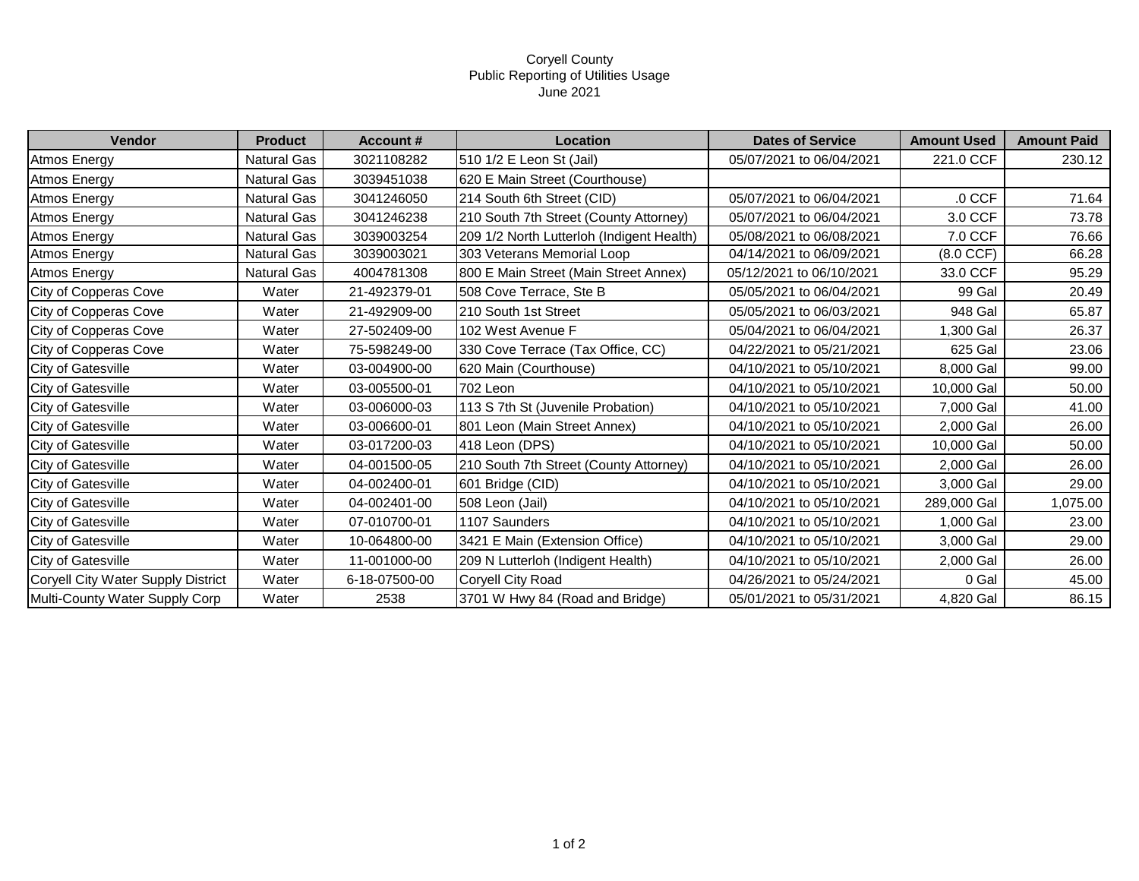## Coryell County Public Reporting of Utilities Usage June 2021

| <b>Vendor</b>                      | <b>Product</b>     | <b>Account #</b> | Location                                  | <b>Dates of Service</b>  | <b>Amount Used</b> | <b>Amount Paid</b> |
|------------------------------------|--------------------|------------------|-------------------------------------------|--------------------------|--------------------|--------------------|
| Atmos Energy                       | <b>Natural Gas</b> | 3021108282       | 510 1/2 E Leon St (Jail)                  | 05/07/2021 to 06/04/2021 | 221.0 CCF          | 230.12             |
| <b>Atmos Energy</b>                | Natural Gas        | 3039451038       | 620 E Main Street (Courthouse)            |                          |                    |                    |
| <b>Atmos Energy</b>                | Natural Gas        | 3041246050       | 214 South 6th Street (CID)                | 05/07/2021 to 06/04/2021 | $.0$ CCF           | 71.64              |
| <b>Atmos Energy</b>                | <b>Natural Gas</b> | 3041246238       | 210 South 7th Street (County Attorney)    | 05/07/2021 to 06/04/2021 | 3.0 CCF            | 73.78              |
| <b>Atmos Energy</b>                | Natural Gas        | 3039003254       | 209 1/2 North Lutterloh (Indigent Health) | 05/08/2021 to 06/08/2021 | 7.0 CCF            | 76.66              |
| <b>Atmos Energy</b>                | <b>Natural Gas</b> | 3039003021       | 303 Veterans Memorial Loop                | 04/14/2021 to 06/09/2021 | (8.0 CCF)          | 66.28              |
| Atmos Energy                       | <b>Natural Gas</b> | 4004781308       | 800 E Main Street (Main Street Annex)     | 05/12/2021 to 06/10/2021 | 33.0 CCF           | 95.29              |
| City of Copperas Cove              | Water              | 21-492379-01     | 508 Cove Terrace, Ste B                   | 05/05/2021 to 06/04/2021 | 99 Gal             | 20.49              |
| City of Copperas Cove              | Water              | 21-492909-00     | 210 South 1st Street                      | 05/05/2021 to 06/03/2021 | 948 Gal            | 65.87              |
| City of Copperas Cove              | Water              | 27-502409-00     | 102 West Avenue F                         | 05/04/2021 to 06/04/2021 | 1,300 Gal          | 26.37              |
| City of Copperas Cove              | Water              | 75-598249-00     | 330 Cove Terrace (Tax Office, CC)         | 04/22/2021 to 05/21/2021 | 625 Gal            | 23.06              |
| City of Gatesville                 | Water              | 03-004900-00     | 620 Main (Courthouse)                     | 04/10/2021 to 05/10/2021 | 8,000 Gal          | 99.00              |
| City of Gatesville                 | Water              | 03-005500-01     | 702 Leon                                  | 04/10/2021 to 05/10/2021 | 10,000 Gal         | 50.00              |
| <b>City of Gatesville</b>          | Water              | 03-006000-03     | 113 S 7th St (Juvenile Probation)         | 04/10/2021 to 05/10/2021 | 7,000 Gal          | 41.00              |
| City of Gatesville                 | Water              | 03-006600-01     | 801 Leon (Main Street Annex)              | 04/10/2021 to 05/10/2021 | 2,000 Gal          | 26.00              |
| City of Gatesville                 | Water              | 03-017200-03     | 418 Leon (DPS)                            | 04/10/2021 to 05/10/2021 | 10,000 Gal         | 50.00              |
| <b>City of Gatesville</b>          | Water              | 04-001500-05     | 210 South 7th Street (County Attorney)    | 04/10/2021 to 05/10/2021 | 2,000 Gal          | 26.00              |
| City of Gatesville                 | Water              | 04-002400-01     | 601 Bridge (CID)                          | 04/10/2021 to 05/10/2021 | 3,000 Gal          | 29.00              |
| City of Gatesville                 | Water              | 04-002401-00     | 508 Leon (Jail)                           | 04/10/2021 to 05/10/2021 | 289,000 Gal        | 1,075.00           |
| <b>City of Gatesville</b>          | Water              | 07-010700-01     | 1107 Saunders                             | 04/10/2021 to 05/10/2021 | 1,000 Gal          | 23.00              |
| City of Gatesville                 | Water              | 10-064800-00     | 3421 E Main (Extension Office)            | 04/10/2021 to 05/10/2021 | 3,000 Gal          | 29.00              |
| <b>City of Gatesville</b>          | Water              | 11-001000-00     | 209 N Lutterloh (Indigent Health)         | 04/10/2021 to 05/10/2021 | 2,000 Gal          | 26.00              |
| Coryell City Water Supply District | Water              | 6-18-07500-00    | Coryell City Road                         | 04/26/2021 to 05/24/2021 | 0 Gal              | 45.00              |
| Multi-County Water Supply Corp     | Water              | 2538             | 3701 W Hwy 84 (Road and Bridge)           | 05/01/2021 to 05/31/2021 | 4,820 Gal          | 86.15              |